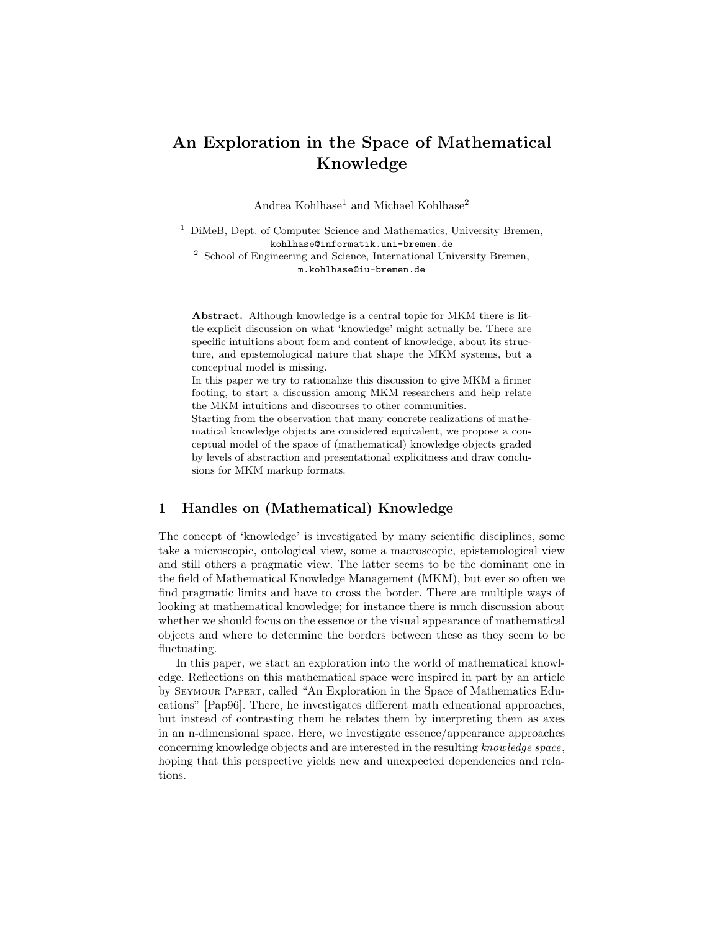# An Exploration in the Space of Mathematical Knowledge

Andrea Kohlhase<sup>1</sup> and Michael Kohlhase<sup>2</sup>

<sup>1</sup> DiMeB, Dept. of Computer Science and Mathematics, University Bremen, kohlhase@informatik.uni-bremen.de

<sup>2</sup> School of Engineering and Science, International University Bremen, m.kohlhase@iu-bremen.de

Abstract. Although knowledge is a central topic for MKM there is little explicit discussion on what 'knowledge' might actually be. There are specific intuitions about form and content of knowledge, about its structure, and epistemological nature that shape the MKM systems, but a conceptual model is missing.

In this paper we try to rationalize this discussion to give MKM a firmer footing, to start a discussion among MKM researchers and help relate the MKM intuitions and discourses to other communities.

Starting from the observation that many concrete realizations of mathematical knowledge objects are considered equivalent, we propose a conceptual model of the space of (mathematical) knowledge objects graded by levels of abstraction and presentational explicitness and draw conclusions for MKM markup formats.

# 1 Handles on (Mathematical) Knowledge

The concept of 'knowledge' is investigated by many scientific disciplines, some take a microscopic, ontological view, some a macroscopic, epistemological view and still others a pragmatic view. The latter seems to be the dominant one in the field of Mathematical Knowledge Management (MKM), but ever so often we find pragmatic limits and have to cross the border. There are multiple ways of looking at mathematical knowledge; for instance there is much discussion about whether we should focus on the essence or the visual appearance of mathematical objects and where to determine the borders between these as they seem to be fluctuating.

In this paper, we start an exploration into the world of mathematical knowledge. Reflections on this mathematical space were inspired in part by an article by Seymour Papert, called "An Exploration in the Space of Mathematics Educations" [Pap96]. There, he investigates different math educational approaches, but instead of contrasting them he relates them by interpreting them as axes in an n-dimensional space. Here, we investigate essence/appearance approaches concerning knowledge objects and are interested in the resulting knowledge space, hoping that this perspective yields new and unexpected dependencies and relations.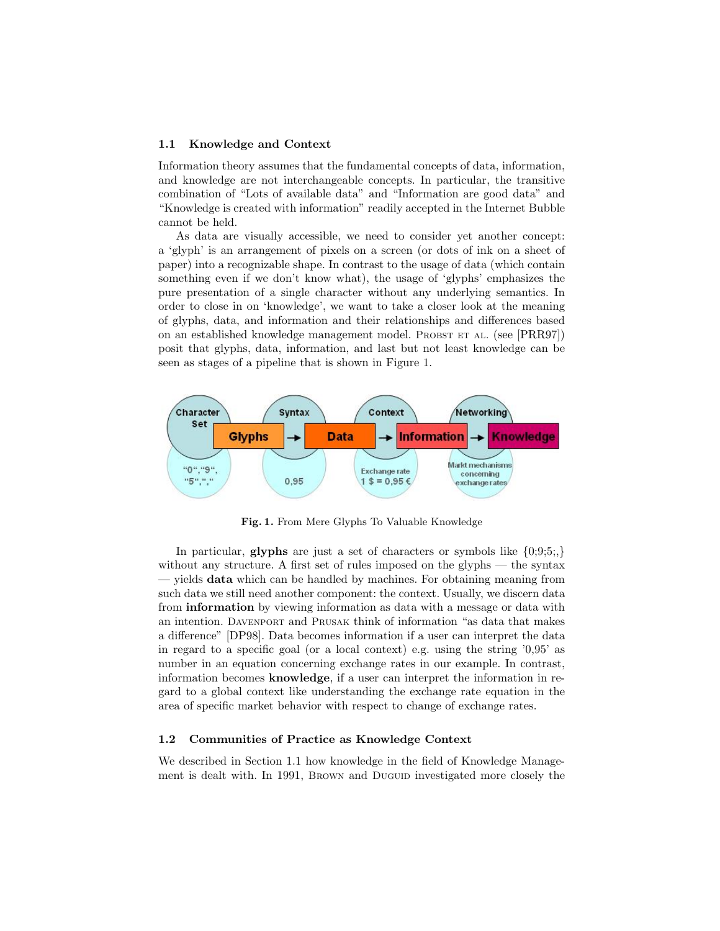## 1.1 Knowledge and Context

Information theory assumes that the fundamental concepts of data, information, and knowledge are not interchangeable concepts. In particular, the transitive combination of "Lots of available data" and "Information are good data" and "Knowledge is created with information" readily accepted in the Internet Bubble cannot be held.

As data are visually accessible, we need to consider yet another concept: a 'glyph' is an arrangement of pixels on a screen (or dots of ink on a sheet of paper) into a recognizable shape. In contrast to the usage of data (which contain something even if we don't know what), the usage of 'glyphs' emphasizes the pure presentation of a single character without any underlying semantics. In order to close in on 'knowledge', we want to take a closer look at the meaning of glyphs, data, and information and their relationships and differences based on an established knowledge management model. PROBST ET AL. (see [PRR97]) posit that glyphs, data, information, and last but not least knowledge can be seen as stages of a pipeline that is shown in Figure 1.



Fig. 1. From Mere Glyphs To Valuable Knowledge

In particular, glyphs are just a set of characters or symbols like  $\{0,9,5;\}$ without any structure. A first set of rules imposed on the glyphs — the syntax — yields data which can be handled by machines. For obtaining meaning from such data we still need another component: the context. Usually, we discern data from information by viewing information as data with a message or data with an intention. Davenport and Prusak think of information "as data that makes a difference" [DP98]. Data becomes information if a user can interpret the data in regard to a specific goal (or a local context) e.g. using the string '0,95' as number in an equation concerning exchange rates in our example. In contrast, information becomes knowledge, if a user can interpret the information in regard to a global context like understanding the exchange rate equation in the area of specific market behavior with respect to change of exchange rates.

## 1.2 Communities of Practice as Knowledge Context

We described in Section 1.1 how knowledge in the field of Knowledge Management is dealt with. In 1991, Brown and Duguin investigated more closely the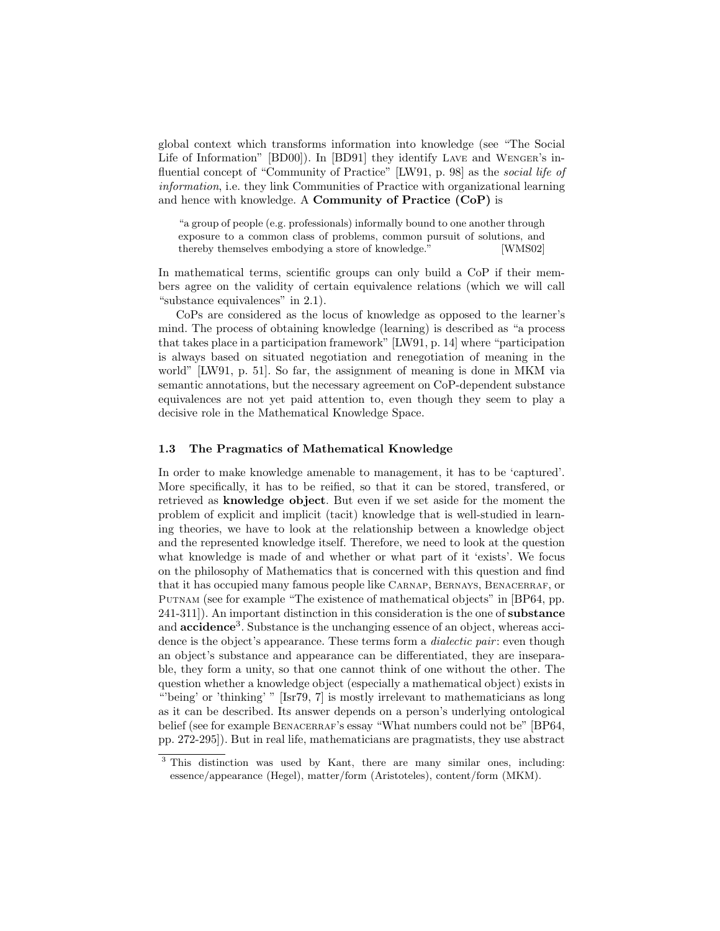global context which transforms information into knowledge (see "The Social Life of Information" [BD00]). In [BD91] they identify Lave and WENGER's influential concept of "Community of Practice" [LW91, p. 98] as the *social life of* information, i.e. they link Communities of Practice with organizational learning and hence with knowledge. A Community of Practice (CoP) is

"a group of people (e.g. professionals) informally bound to one another through exposure to a common class of problems, common pursuit of solutions, and thereby themselves embodying a store of knowledge." [WMS02]

In mathematical terms, scientific groups can only build a CoP if their members agree on the validity of certain equivalence relations (which we will call "substance equivalences" in 2.1).

CoPs are considered as the locus of knowledge as opposed to the learner's mind. The process of obtaining knowledge (learning) is described as "a process that takes place in a participation framework" [LW91, p. 14] where "participation is always based on situated negotiation and renegotiation of meaning in the world" [LW91, p. 51]. So far, the assignment of meaning is done in MKM via semantic annotations, but the necessary agreement on CoP-dependent substance equivalences are not yet paid attention to, even though they seem to play a decisive role in the Mathematical Knowledge Space.

#### 1.3 The Pragmatics of Mathematical Knowledge

In order to make knowledge amenable to management, it has to be 'captured'. More specifically, it has to be reified, so that it can be stored, transfered, or retrieved as knowledge object. But even if we set aside for the moment the problem of explicit and implicit (tacit) knowledge that is well-studied in learning theories, we have to look at the relationship between a knowledge object and the represented knowledge itself. Therefore, we need to look at the question what knowledge is made of and whether or what part of it 'exists'. We focus on the philosophy of Mathematics that is concerned with this question and find that it has occupied many famous people like Carnap, Bernays, Benacerraf, or Putnam (see for example "The existence of mathematical objects" in [BP64, pp. 241-311]). An important distinction in this consideration is the one of substance and **accidence**<sup>3</sup>. Substance is the unchanging essence of an object, whereas accidence is the object's appearance. These terms form a *dialectic pair*: even though an object's substance and appearance can be differentiated, they are inseparable, they form a unity, so that one cannot think of one without the other. The question whether a knowledge object (especially a mathematical object) exists in "being' or 'thinking' " [Isr79, 7] is mostly irrelevant to mathematicians as long as it can be described. Its answer depends on a person's underlying ontological belief (see for example BENACERRAF's essay "What numbers could not be" [BP64, pp. 272-295]). But in real life, mathematicians are pragmatists, they use abstract

<sup>&</sup>lt;sup>3</sup> This distinction was used by Kant, there are many similar ones, including: essence/appearance (Hegel), matter/form (Aristoteles), content/form (MKM).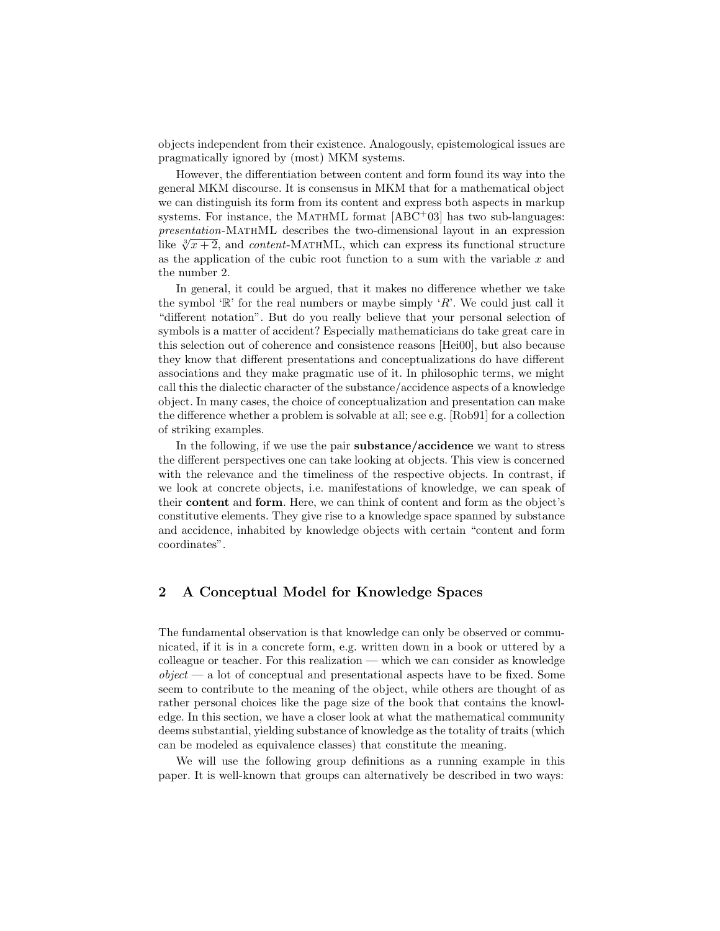objects independent from their existence. Analogously, epistemological issues are pragmatically ignored by (most) MKM systems.

However, the differentiation between content and form found its way into the general MKM discourse. It is consensus in MKM that for a mathematical object we can distinguish its form from its content and express both aspects in markup systems. For instance, the MATHML format  $[ABC^+03]$  has two sub-languages: presentation-MathML describes the two-dimensional layout in an expression like  $\sqrt[3]{x+2}$ , and *content*-MATHML, which can express its functional structure as the application of the cubic root function to a sum with the variable  $x$  and the number 2.

In general, it could be argued, that it makes no difference whether we take the symbol  $\mathbb{R}^n$  for the real numbers or maybe simply  $\mathbb{R}^n$ . We could just call it "different notation". But do you really believe that your personal selection of symbols is a matter of accident? Especially mathematicians do take great care in this selection out of coherence and consistence reasons [Hei00], but also because they know that different presentations and conceptualizations do have different associations and they make pragmatic use of it. In philosophic terms, we might call this the dialectic character of the substance/accidence aspects of a knowledge object. In many cases, the choice of conceptualization and presentation can make the difference whether a problem is solvable at all; see e.g. [Rob91] for a collection of striking examples.

In the following, if we use the pair substance/accidence we want to stress the different perspectives one can take looking at objects. This view is concerned with the relevance and the timeliness of the respective objects. In contrast, if we look at concrete objects, i.e. manifestations of knowledge, we can speak of their content and form. Here, we can think of content and form as the object's constitutive elements. They give rise to a knowledge space spanned by substance and accidence, inhabited by knowledge objects with certain "content and form coordinates".

# 2 A Conceptual Model for Knowledge Spaces

The fundamental observation is that knowledge can only be observed or communicated, if it is in a concrete form, e.g. written down in a book or uttered by a colleague or teacher. For this realization — which we can consider as knowledge  $object$  — a lot of conceptual and presentational aspects have to be fixed. Some seem to contribute to the meaning of the object, while others are thought of as rather personal choices like the page size of the book that contains the knowledge. In this section, we have a closer look at what the mathematical community deems substantial, yielding substance of knowledge as the totality of traits (which can be modeled as equivalence classes) that constitute the meaning.

We will use the following group definitions as a running example in this paper. It is well-known that groups can alternatively be described in two ways: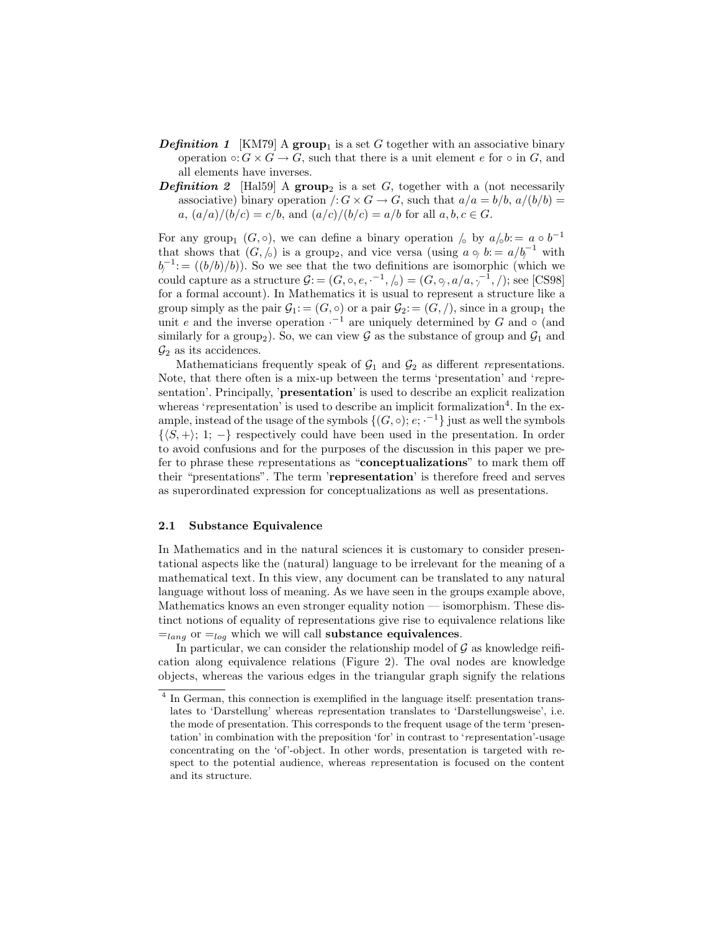- **Definition 1** [KM79] A group<sub>1</sub> is a set G together with an associative binary operation  $\circ: G \times G \to G$ , such that there is a unit element e for  $\circ$  in G, and all elements have inverses.
- **Definition 2** [Hal59] A group<sub>2</sub> is a set G, together with a (not necessarily associative) binary operation /:  $G \times G \rightarrow G$ , such that  $a/a = b/b$ ,  $a/(b/b) =$  $a, (a/a)/(b/c) = c/b,$  and  $(a/c)/(b/c) = a/b$  for all  $a, b, c \in G$ .

For any group<sub>1</sub>  $(G, \circ)$ , we can define a binary operation  $\int_{\circ}$  by  $a/\circ b := a \circ b^{-1}$ that shows that  $(G, \zeta)$  is a group<sub>2</sub>, and vice versa (using  $a \circ b = a/b^{-1}$  with  $b^{-1}$ : =  $((b/b)/b)$ ). So we see that the two definitions are isomorphic (which we could capture as a structure  $\mathcal{G} = (G, \circ, e, \cdot^{-1}, \sqrt{0}) = (G, \circ, a/a, \sqrt{1}, \sqrt{0})$ ; see [CS98] for a formal account). In Mathematics it is usual to represent a structure like a group simply as the pair  $G_1:=(G,\circ)$  or a pair  $G_2:=(G,\!/),$  since in a group<sub>1</sub> the unit e and the inverse operation  $\cdot^{-1}$  are uniquely determined by G and ∘ (and similarly for a group<sub>2</sub>). So, we can view  $G$  as the substance of group and  $G_1$  and  $\mathcal{G}_2$  as its accidences.

Mathematicians frequently speak of  $\mathcal{G}_1$  and  $\mathcal{G}_2$  as different representations. Note, that there often is a mix-up between the terms 'presentation' and 'representation'. Principally, 'presentation' is used to describe an explicit realization whereas 'representation' is used to describe an implicit formalization<sup>4</sup>. In the example, instead of the usage of the symbols  $\{(G, \circ); e; \cdot^{-1}\}\$  just as well the symbols  $\{\langle S, +\rangle : 1; -\}$  respectively could have been used in the presentation. In order to avoid confusions and for the purposes of the discussion in this paper we prefer to phrase these representations as "conceptualizations" to mark them off their "presentations". The term 'representation' is therefore freed and serves as superordinated expression for conceptualizations as well as presentations.

#### 2.1 Substance Equivalence

In Mathematics and in the natural sciences it is customary to consider presentational aspects like the (natural) language to be irrelevant for the meaning of a mathematical text. In this view, any document can be translated to any natural language without loss of meaning. As we have seen in the groups example above, Mathematics knows an even stronger equality notion — isomorphism. These distinct notions of equality of representations give rise to equivalence relations like  $=$ <sub>lang</sub> or  $=$ <sub>log</sub> which we will call **substance equivalences**.

In particular, we can consider the relationship model of  $G$  as knowledge reification along equivalence relations (Figure 2). The oval nodes are knowledge objects, whereas the various edges in the triangular graph signify the relations

<sup>&</sup>lt;sup>4</sup> In German, this connection is exemplified in the language itself: presentation translates to 'Darstellung' whereas representation translates to 'Darstellungsweise', i.e. the mode of presentation. This corresponds to the frequent usage of the term 'presentation' in combination with the preposition 'for' in contrast to 'representation'-usage concentrating on the 'of'-object. In other words, presentation is targeted with respect to the potential audience, whereas representation is focused on the content and its structure.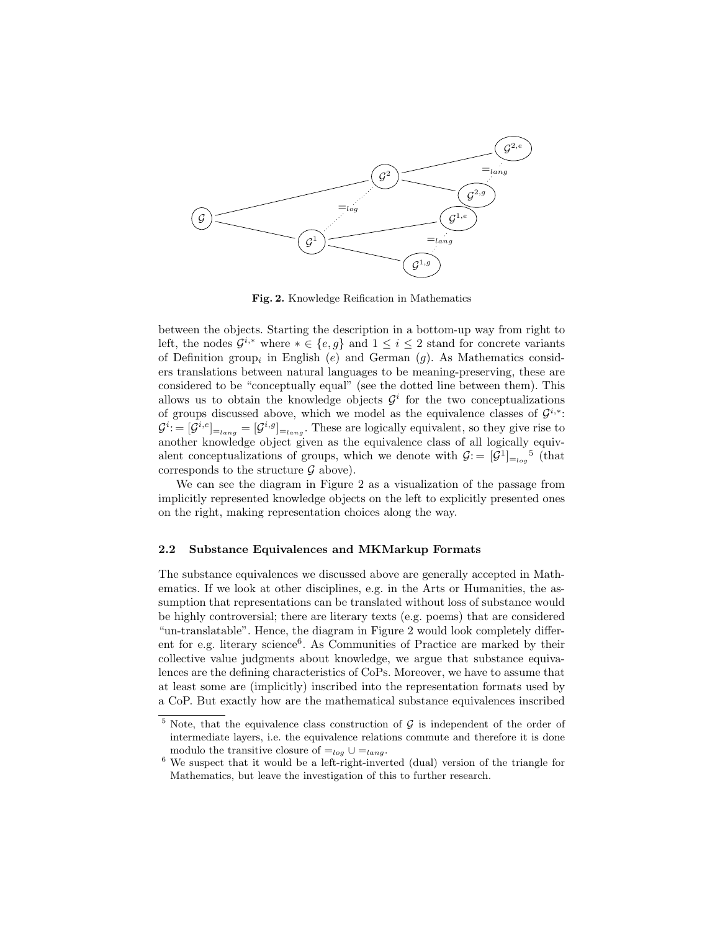

Fig. 2. Knowledge Reification in Mathematics

between the objects. Starting the description in a bottom-up way from right to left, the nodes  $\mathcal{G}^{i,*}$  where  $*\in\{e,g\}$  and  $1\leq i\leq 2$  stand for concrete variants of Definition group<sub>i</sub> in English  $(e)$  and German  $(g)$ . As Mathematics considers translations between natural languages to be meaning-preserving, these are considered to be "conceptually equal" (see the dotted line between them). This allows us to obtain the knowledge objects  $\mathcal{G}^i$  for the two conceptualizations of groups discussed above, which we model as the equivalence classes of  $\mathcal{G}^{i,*}$ :  $\mathcal{G}^{i} = [\mathcal{G}^{i,e}]_{=_{lang}} = [\mathcal{G}^{i,g}]_{=_{lang}}$ . These are logically equivalent, so they give rise to another knowledge object given as the equivalence class of all logically equivalent conceptualizations of groups, which we denote with  $\mathcal{G} = [\mathcal{G}^1]_{=_{log}}^5$  (that corresponds to the structure  $G$  above).

We can see the diagram in Figure 2 as a visualization of the passage from implicitly represented knowledge objects on the left to explicitly presented ones on the right, making representation choices along the way.

## 2.2 Substance Equivalences and MKMarkup Formats

The substance equivalences we discussed above are generally accepted in Mathematics. If we look at other disciplines, e.g. in the Arts or Humanities, the assumption that representations can be translated without loss of substance would be highly controversial; there are literary texts (e.g. poems) that are considered "un-translatable". Hence, the diagram in Figure 2 would look completely different for e.g. literary science<sup>6</sup>. As Communities of Practice are marked by their collective value judgments about knowledge, we argue that substance equivalences are the defining characteristics of CoPs. Moreover, we have to assume that at least some are (implicitly) inscribed into the representation formats used by a CoP. But exactly how are the mathematical substance equivalences inscribed

<sup>&</sup>lt;sup>5</sup> Note, that the equivalence class construction of  $\mathcal G$  is independent of the order of intermediate layers, i.e. the equivalence relations commute and therefore it is done modulo the transitive closure of  $=_{log} \cup =_{lang}$ .

 $6$  We suspect that it would be a left-right-inverted (dual) version of the triangle for Mathematics, but leave the investigation of this to further research.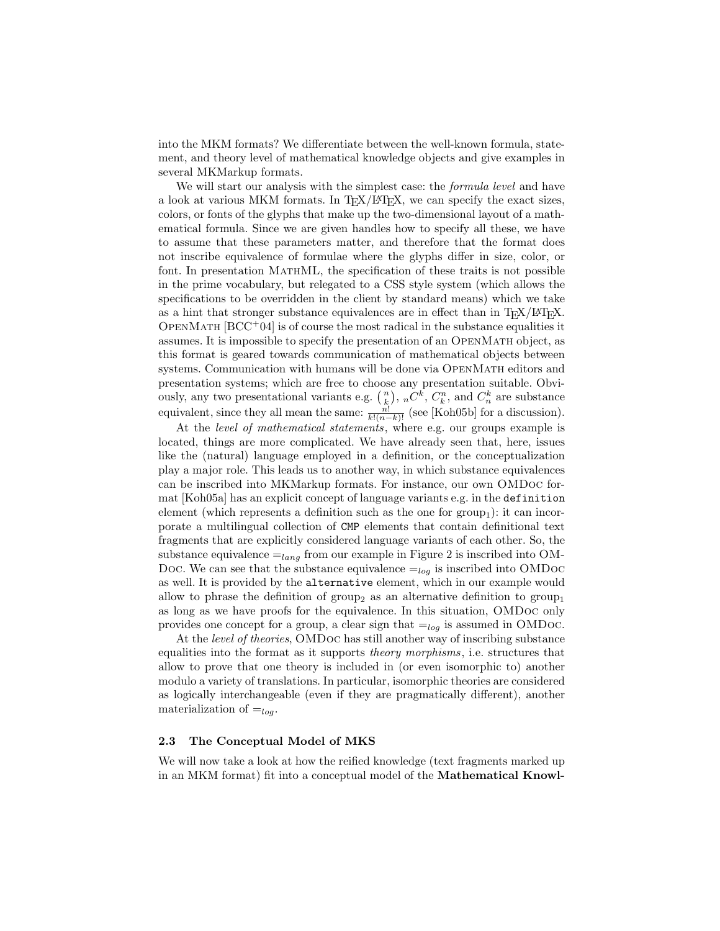into the MKM formats? We differentiate between the well-known formula, statement, and theory level of mathematical knowledge objects and give examples in several MKMarkup formats.

We will start our analysis with the simplest case: the *formula level* and have a look at various MKM formats. In TEX/LATEX, we can specify the exact sizes, colors, or fonts of the glyphs that make up the two-dimensional layout of a mathematical formula. Since we are given handles how to specify all these, we have to assume that these parameters matter, and therefore that the format does not inscribe equivalence of formulae where the glyphs differ in size, color, or font. In presentation MathML, the specification of these traits is not possible in the prime vocabulary, but relegated to a CSS style system (which allows the specifications to be overridden in the client by standard means) which we take as a hint that stronger substance equivalences are in effect than in  $T_{F}X/F_{F}X$ . OPENMATH  $[BCC+04]$  is of course the most radical in the substance equalities it assumes. It is impossible to specify the presentation of an OpenMath object, as this format is geared towards communication of mathematical objects between systems. Communication with humans will be done via OPENMATH editors and presentation systems; which are free to choose any presentation suitable. Obviously, any two presentational variants e.g.  $\binom{n}{k}$ ,  $n^{\overline{C}^k}$ ,  $C_k^n$ , and  $C_n^k$  are substance equivalent, since they all mean the same:  $\frac{n!}{k!(n-k)!}$  (see [Koh05b] for a discussion).

At the level of mathematical statements, where e.g. our groups example is located, things are more complicated. We have already seen that, here, issues like the (natural) language employed in a definition, or the conceptualization play a major role. This leads us to another way, in which substance equivalences can be inscribed into MKMarkup formats. For instance, our own OMDoc format [Koh05a] has an explicit concept of language variants e.g. in the definition element (which represents a definition such as the one for  $\text{group}_1$ ): it can incorporate a multilingual collection of CMP elements that contain definitional text fragments that are explicitly considered language variants of each other. So, the substance equivalence  $=_{lang}$  from our example in Figure 2 is inscribed into OM-Doc. We can see that the substance equivalence  $=_{log}$  is inscribed into OMDoc as well. It is provided by the alternative element, which in our example would allow to phrase the definition of group<sub>2</sub> as an alternative definition to group<sub>1</sub> as long as we have proofs for the equivalence. In this situation, OMDoc only provides one concept for a group, a clear sign that  $=_{log}$  is assumed in OMDoc.

At the level of theories, OMDoc has still another way of inscribing substance equalities into the format as it supports theory morphisms, i.e. structures that allow to prove that one theory is included in (or even isomorphic to) another modulo a variety of translations. In particular, isomorphic theories are considered as logically interchangeable (even if they are pragmatically different), another materialization of  $=_{log}$ .

#### 2.3 The Conceptual Model of MKS

We will now take a look at how the reified knowledge (text fragments marked up in an MKM format) fit into a conceptual model of the Mathematical Knowl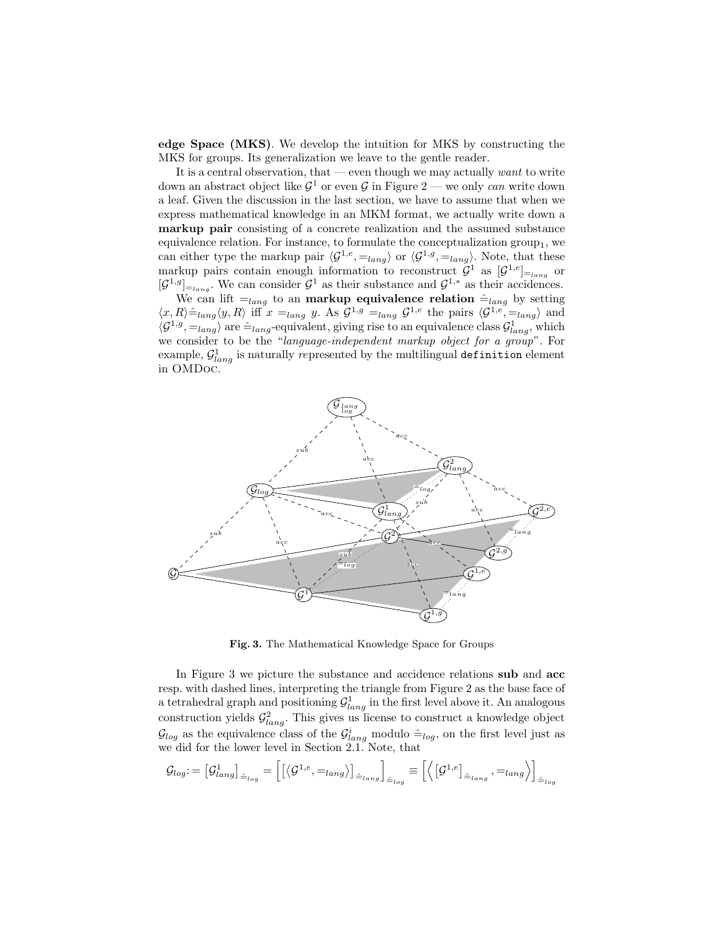edge Space (MKS). We develop the intuition for MKS by constructing the MKS for groups. Its generalization we leave to the gentle reader.

It is a central observation, that — even though we may actually want to write down an abstract object like  $\mathcal{G}^1$  or even  $\mathcal{G}$  in Figure 2 — we only can write down a leaf. Given the discussion in the last section, we have to assume that when we express mathematical knowledge in an MKM format, we actually write down a markup pair consisting of a concrete realization and the assumed substance equivalence relation. For instance, to formulate the conceptualization group<sub>1</sub>, we can either type the markup pair  $\langle \mathcal{G}^{1,e},=_{lang} \rangle$  or  $\langle \mathcal{G}^{1,g},=_{lang} \rangle$ . Note, that these markup pairs contain enough information to reconstruct  $\mathcal{G}^1$  as  $[\mathcal{G}^{1,e}]_{=_{lang}}$  or  $[\mathcal{G}^{1,g}]_{=_{lang}}$ . We can consider  $\mathcal{G}^1$  as their substance and  $\mathcal{G}^{1,*}$  as their accidences.

We can lift  $=_{lang}$  to an **markup equivalence relation**  $\hat{=}_{lang}$  by setting  $\langle x, R \rangle \hat{=}_{lang} \langle y, R \rangle$  iff  $x =_{lang} y$ . As  $\mathcal{G}^{1,g} =_{lang} \mathcal{G}^{1,e}$  the pairs  $\langle \mathcal{G}^{1,e},=_{lang} \rangle$  and  $\langle \mathcal{G}^{1,g},=_{lang} \rangle$  are  $\hat{=}_{lang}$ -equivalent, giving rise to an equivalence class  $\mathcal{G}^1_{lang}$ , which we consider to be the "language-independent markup object for a group". For example,  $\mathcal{G}^1_{lang}$  is naturally represented by the multilingual definition element in OMDoc.



Fig. 3. The Mathematical Knowledge Space for Groups

In Figure 3 we picture the substance and accidence relations sub and acc resp. with dashed lines, interpreting the triangle from Figure 2 as the base face of a tetrahedral graph and positioning  $\mathcal{G}^1_{lang}$  in the first level above it. An analogous construction yields  $G_{lang}^2$ . This gives us license to construct a knowledge object  $\mathcal{G}_{log}$  as the equivalence class of the  $\mathcal{G}_{lang}^i$  modulo  $\hat{=}_{log}$ , on the first level just as we did for the lower level in Section 2.1. Note, that

$$
\mathcal{G}_{log} := \left[\mathcal{G}^1_{lang}\right]_{\hat{=}_{log}} = \left[\left[\left\langle \mathcal{G}^{1,e},=_{lang}\right\rangle\right]_{\hat{=}_{lang}}\right]_{\hat{=}_{log}} \equiv \left[\left\langle \left[\mathcal{G}^{1,e}\right]_{\hat{=}_{lang}},=_{lang}\right\rangle\right]_{\hat{=}_{log}}
$$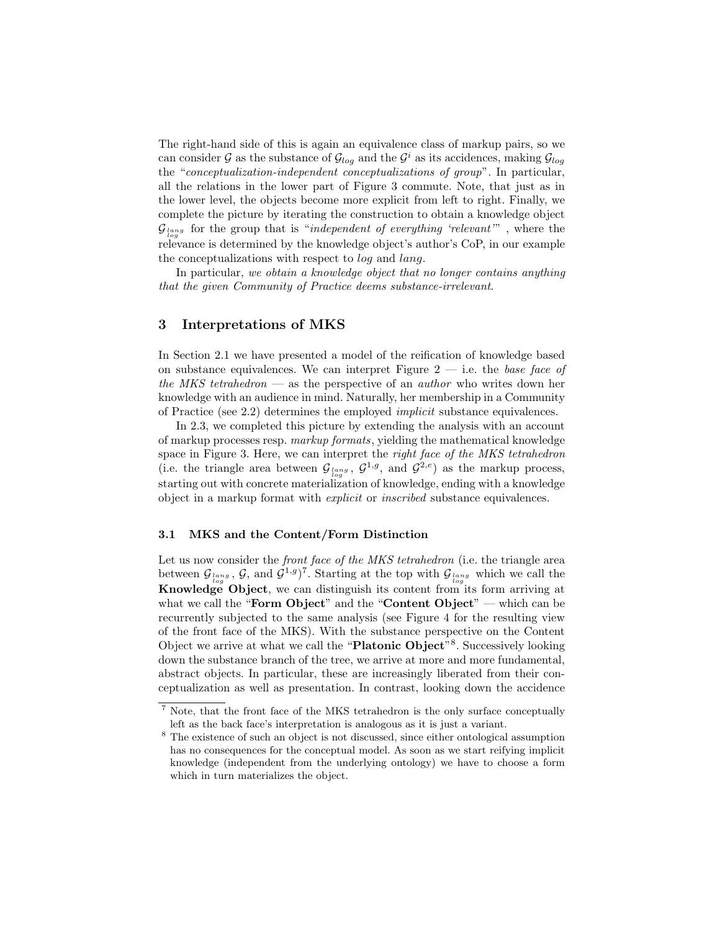The right-hand side of this is again an equivalence class of markup pairs, so we can consider G as the substance of  $\mathcal{G}_{log}$  and the  $\mathcal{G}^i$  as its accidences, making  $\mathcal{G}_{log}$ the "conceptualization-independent conceptualizations of group". In particular, all the relations in the lower part of Figure 3 commute. Note, that just as in the lower level, the objects become more explicit from left to right. Finally, we complete the picture by iterating the construction to obtain a knowledge object  $\mathcal{G}_{\substack{lang \\ log}}$  for the group that is "independent of everything 'relevant'", where the relevance is determined by the knowledge object's author's CoP, in our example the conceptualizations with respect to log and lang.

In particular, we obtain a knowledge object that no longer contains anything that the given Community of Practice deems substance-irrelevant.

## 3 Interpretations of MKS

In Section 2.1 we have presented a model of the reification of knowledge based on substance equivalences. We can interpret Figure  $2$  — i.e. the base face of the MKS tetrahedron — as the perspective of an author who writes down her knowledge with an audience in mind. Naturally, her membership in a Community of Practice (see 2.2) determines the employed implicit substance equivalences.

In 2.3, we completed this picture by extending the analysis with an account of markup processes resp. markup formats, yielding the mathematical knowledge space in Figure 3. Here, we can interpret the *right face of the MKS tetrahedron* (i.e. the triangle area between  $\mathcal{G}_{\substack{lang \\ log}}$ ,  $\mathcal{G}^{1,g}$ , and  $\mathcal{G}^{2,e}$ ) as the markup process, starting out with concrete materialization of knowledge, ending with a knowledge object in a markup format with explicit or inscribed substance equivalences.

## 3.1 MKS and the Content/Form Distinction

Let us now consider the *front face of the MKS tetrahedron* (i.e. the triangle area between  $\mathcal{G}_{\substack{lang \\ log}}$ ,  $\mathcal{G}$ , and  $\mathcal{G}^{1,g}$ . Starting at the top with  $\mathcal{G}_{\substack{lang \\ log}}$  which we call the Knowledge Object, we can distinguish its content from its form arriving at what we call the "**Form Object**" and the "**Content Object**" — which can be recurrently subjected to the same analysis (see Figure 4 for the resulting view of the front face of the MKS). With the substance perspective on the Content Object we arrive at what we call the "Platonic Object"<sup>8</sup>. Successively looking down the substance branch of the tree, we arrive at more and more fundamental, abstract objects. In particular, these are increasingly liberated from their conceptualization as well as presentation. In contrast, looking down the accidence

<sup>7</sup> Note, that the front face of the MKS tetrahedron is the only surface conceptually left as the back face's interpretation is analogous as it is just a variant.

<sup>8</sup> The existence of such an object is not discussed, since either ontological assumption has no consequences for the conceptual model. As soon as we start reifying implicit knowledge (independent from the underlying ontology) we have to choose a form which in turn materializes the object.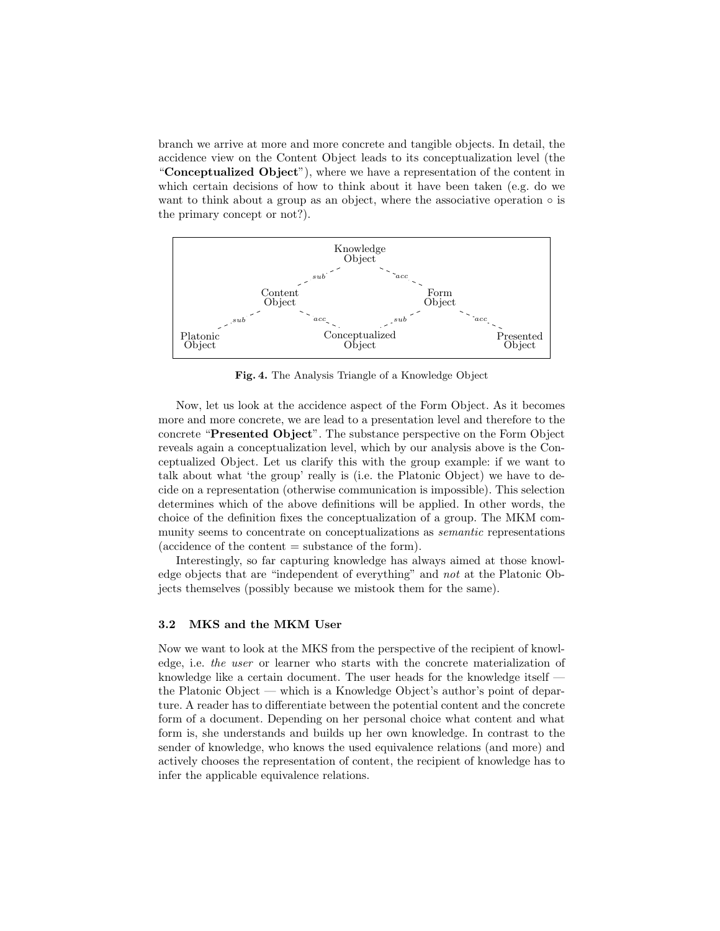branch we arrive at more and more concrete and tangible objects. In detail, the accidence view on the Content Object leads to its conceptualization level (the "Conceptualized Object"), where we have a representation of the content in which certain decisions of how to think about it have been taken (e.g. do we want to think about a group as an object, where the associative operation  $\circ$  is the primary concept or not?).



Fig. 4. The Analysis Triangle of a Knowledge Object

Now, let us look at the accidence aspect of the Form Object. As it becomes more and more concrete, we are lead to a presentation level and therefore to the concrete "Presented Object". The substance perspective on the Form Object reveals again a conceptualization level, which by our analysis above is the Conceptualized Object. Let us clarify this with the group example: if we want to talk about what 'the group' really is (i.e. the Platonic Object) we have to decide on a representation (otherwise communication is impossible). This selection determines which of the above definitions will be applied. In other words, the choice of the definition fixes the conceptualization of a group. The MKM community seems to concentrate on conceptualizations as semantic representations  $(\text{accidence of the content} = \text{substance of the form}).$ 

Interestingly, so far capturing knowledge has always aimed at those knowledge objects that are "independent of everything" and not at the Platonic Objects themselves (possibly because we mistook them for the same).

## 3.2 MKS and the MKM User

Now we want to look at the MKS from the perspective of the recipient of knowledge, i.e. the user or learner who starts with the concrete materialization of knowledge like a certain document. The user heads for the knowledge itself the Platonic Object — which is a Knowledge Object's author's point of departure. A reader has to differentiate between the potential content and the concrete form of a document. Depending on her personal choice what content and what form is, she understands and builds up her own knowledge. In contrast to the sender of knowledge, who knows the used equivalence relations (and more) and actively chooses the representation of content, the recipient of knowledge has to infer the applicable equivalence relations.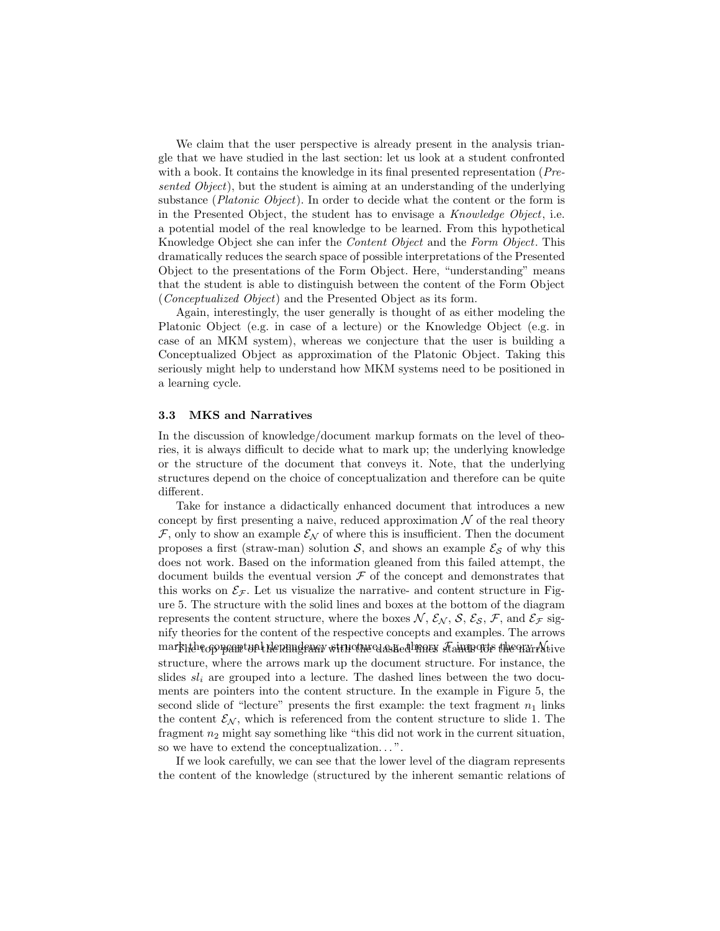We claim that the user perspective is already present in the analysis triangle that we have studied in the last section: let us look at a student confronted with a book. It contains the knowledge in its final presented representation (*Pre*sented Object), but the student is aiming at an understanding of the underlying substance (*Platonic Object*). In order to decide what the content or the form is in the Presented Object, the student has to envisage a Knowledge Object, i.e. a potential model of the real knowledge to be learned. From this hypothetical Knowledge Object she can infer the Content Object and the Form Object. This dramatically reduces the search space of possible interpretations of the Presented Object to the presentations of the Form Object. Here, "understanding" means that the student is able to distinguish between the content of the Form Object (Conceptualized Object) and the Presented Object as its form.

Again, interestingly, the user generally is thought of as either modeling the Platonic Object (e.g. in case of a lecture) or the Knowledge Object (e.g. in case of an MKM system), whereas we conjecture that the user is building a Conceptualized Object as approximation of the Platonic Object. Taking this seriously might help to understand how MKM systems need to be positioned in a learning cycle.

## 3.3 MKS and Narratives

In the discussion of knowledge/document markup formats on the level of theories, it is always difficult to decide what to mark up; the underlying knowledge or the structure of the document that conveys it. Note, that the underlying structures depend on the choice of conceptualization and therefore can be quite different.

Take for instance a didactically enhanced document that introduces a new concept by first presenting a naive, reduced approximation  $\mathcal N$  of the real theory  $\mathcal{F}$ , only to show an example  $\mathcal{E}_{\mathcal{N}}$  of where this is insufficient. Then the document proposes a first (straw-man) solution  $S$ , and shows an example  $\mathcal{E}_S$  of why this does not work. Based on the information gleaned from this failed attempt, the document builds the eventual version  $\mathcal F$  of the concept and demonstrates that this works on  $\mathcal{E}_{\mathcal{F}}$ . Let us visualize the narrative- and content structure in Figure 5. The structure with the solid lines and boxes at the bottom of the diagram represents the content structure, where the boxes  $\mathcal{N}, \mathcal{E}_{\mathcal{N}}, \mathcal{S}, \mathcal{E}_{\mathcal{S}}, \mathcal{F},$  and  $\mathcal{E}_{\mathcal{F}}$  signify theories for the content of the respective concepts and examples. The arrows  $m$ ark $\frac{1}{2}$ the  $\alpha$  part the the theory  $\alpha$  is the dashed lines stands for the orar  $\mathcal{M}_{\text{tive}}$ structure, where the arrows mark up the document structure. For instance, the slides  $sl_i$  are grouped into a lecture. The dashed lines between the two documents are pointers into the content structure. In the example in Figure 5, the second slide of "lecture" presents the first example: the text fragment  $n_1$  links the content  $\mathcal{E}_{\mathcal{N}}$ , which is referenced from the content structure to slide 1. The fragment  $n_2$  might say something like "this did not work in the current situation, so we have to extend the conceptualization. . . ".

If we look carefully, we can see that the lower level of the diagram represents the content of the knowledge (structured by the inherent semantic relations of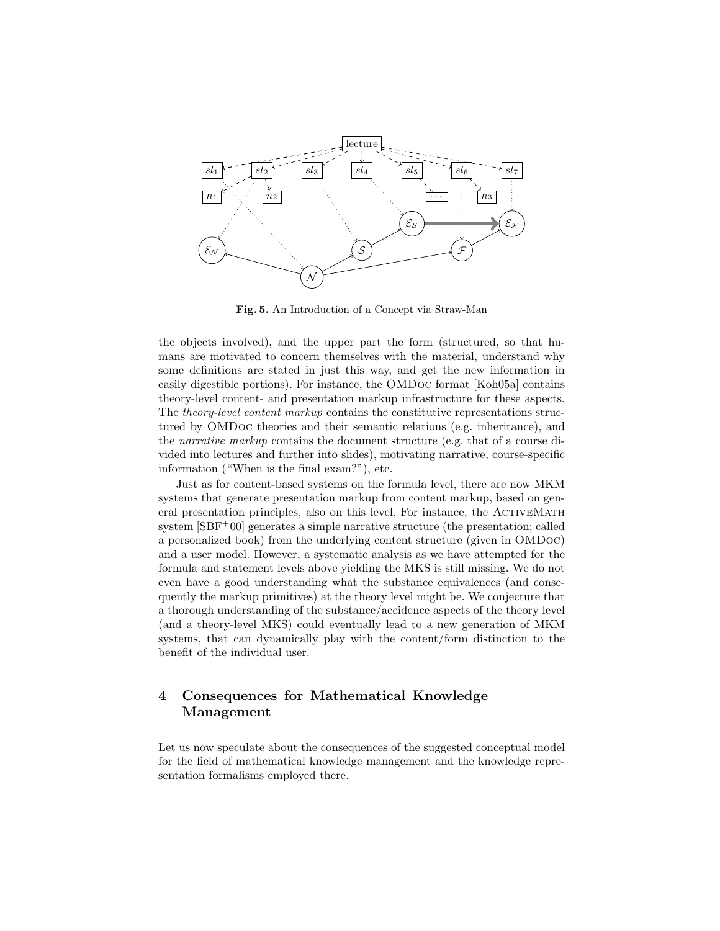

Fig. 5. An Introduction of a Concept via Straw-Man

the objects involved), and the upper part the form (structured, so that humans are motivated to concern themselves with the material, understand why some definitions are stated in just this way, and get the new information in easily digestible portions). For instance, the OMDoc format [Koh05a] contains theory-level content- and presentation markup infrastructure for these aspects. The theory-level content markup contains the constitutive representations structured by OMDoc theories and their semantic relations (e.g. inheritance), and the narrative markup contains the document structure (e.g. that of a course divided into lectures and further into slides), motivating narrative, course-specific information ("When is the final exam?"), etc.

Just as for content-based systems on the formula level, there are now MKM systems that generate presentation markup from content markup, based on general presentation principles, also on this level. For instance, the ActiveMath system  $[SBF<sup>+</sup>00]$  generates a simple narrative structure (the presentation; called a personalized book) from the underlying content structure (given in OMDoc) and a user model. However, a systematic analysis as we have attempted for the formula and statement levels above yielding the MKS is still missing. We do not even have a good understanding what the substance equivalences (and consequently the markup primitives) at the theory level might be. We conjecture that a thorough understanding of the substance/accidence aspects of the theory level (and a theory-level MKS) could eventually lead to a new generation of MKM systems, that can dynamically play with the content/form distinction to the benefit of the individual user.

# 4 Consequences for Mathematical Knowledge Management

Let us now speculate about the consequences of the suggested conceptual model for the field of mathematical knowledge management and the knowledge representation formalisms employed there.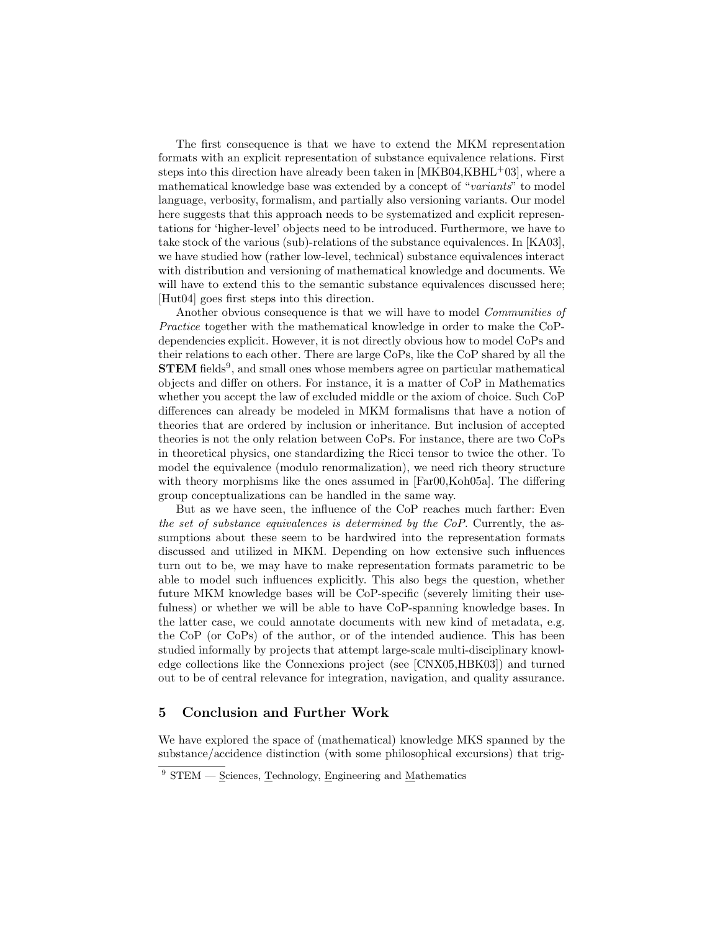The first consequence is that we have to extend the MKM representation formats with an explicit representation of substance equivalence relations. First steps into this direction have already been taken in  $[MKBO4,KBHL+03]$ , where a mathematical knowledge base was extended by a concept of "variants" to model language, verbosity, formalism, and partially also versioning variants. Our model here suggests that this approach needs to be systematized and explicit representations for 'higher-level' objects need to be introduced. Furthermore, we have to take stock of the various (sub)-relations of the substance equivalences. In [KA03], we have studied how (rather low-level, technical) substance equivalences interact with distribution and versioning of mathematical knowledge and documents. We will have to extend this to the semantic substance equivalences discussed here; [Hut04] goes first steps into this direction.

Another obvious consequence is that we will have to model *Communities of* Practice together with the mathematical knowledge in order to make the CoPdependencies explicit. However, it is not directly obvious how to model CoPs and their relations to each other. There are large CoPs, like the CoP shared by all the **STEM** fields<sup>9</sup>, and small ones whose members agree on particular mathematical objects and differ on others. For instance, it is a matter of CoP in Mathematics whether you accept the law of excluded middle or the axiom of choice. Such CoP differences can already be modeled in MKM formalisms that have a notion of theories that are ordered by inclusion or inheritance. But inclusion of accepted theories is not the only relation between CoPs. For instance, there are two CoPs in theoretical physics, one standardizing the Ricci tensor to twice the other. To model the equivalence (modulo renormalization), we need rich theory structure with theory morphisms like the ones assumed in [Far00,Koh05a]. The differing group conceptualizations can be handled in the same way.

But as we have seen, the influence of the CoP reaches much farther: Even the set of substance equivalences is determined by the CoP. Currently, the assumptions about these seem to be hardwired into the representation formats discussed and utilized in MKM. Depending on how extensive such influences turn out to be, we may have to make representation formats parametric to be able to model such influences explicitly. This also begs the question, whether future MKM knowledge bases will be CoP-specific (severely limiting their usefulness) or whether we will be able to have CoP-spanning knowledge bases. In the latter case, we could annotate documents with new kind of metadata, e.g. the CoP (or CoPs) of the author, or of the intended audience. This has been studied informally by projects that attempt large-scale multi-disciplinary knowledge collections like the Connexions project (see [CNX05,HBK03]) and turned out to be of central relevance for integration, navigation, and quality assurance.

## 5 Conclusion and Further Work

We have explored the space of (mathematical) knowledge MKS spanned by the substance/accidence distinction (with some philosophical excursions) that trig-

 $9 \text{ STEM} \longrightarrow$  Sciences, Technology, Engineering and Mathematics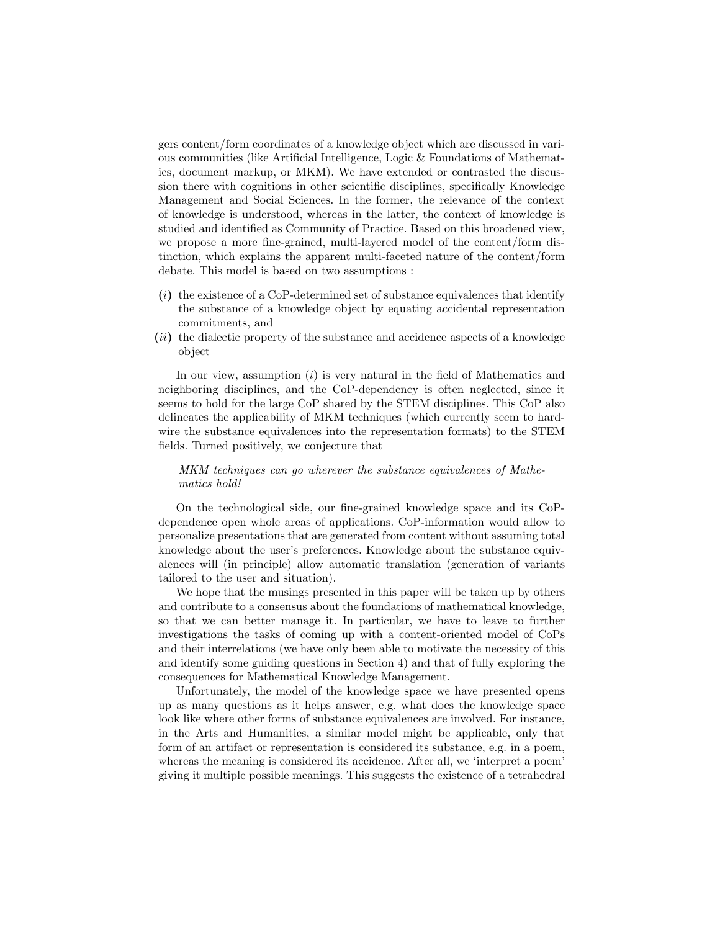gers content/form coordinates of a knowledge object which are discussed in various communities (like Artificial Intelligence, Logic & Foundations of Mathematics, document markup, or MKM). We have extended or contrasted the discussion there with cognitions in other scientific disciplines, specifically Knowledge Management and Social Sciences. In the former, the relevance of the context of knowledge is understood, whereas in the latter, the context of knowledge is studied and identified as Community of Practice. Based on this broadened view, we propose a more fine-grained, multi-layered model of the content/form distinction, which explains the apparent multi-faceted nature of the content/form debate. This model is based on two assumptions :

- $(i)$  the existence of a CoP-determined set of substance equivalences that identify the substance of a knowledge object by equating accidental representation commitments, and
- $(ii)$  the dialectic property of the substance and accidence aspects of a knowledge object

In our view, assumption  $(i)$  is very natural in the field of Mathematics and neighboring disciplines, and the CoP-dependency is often neglected, since it seems to hold for the large CoP shared by the STEM disciplines. This CoP also delineates the applicability of MKM techniques (which currently seem to hardwire the substance equivalences into the representation formats) to the STEM fields. Turned positively, we conjecture that

# MKM techniques can go wherever the substance equivalences of Mathematics hold!

On the technological side, our fine-grained knowledge space and its CoPdependence open whole areas of applications. CoP-information would allow to personalize presentations that are generated from content without assuming total knowledge about the user's preferences. Knowledge about the substance equivalences will (in principle) allow automatic translation (generation of variants tailored to the user and situation).

We hope that the musings presented in this paper will be taken up by others and contribute to a consensus about the foundations of mathematical knowledge, so that we can better manage it. In particular, we have to leave to further investigations the tasks of coming up with a content-oriented model of CoPs and their interrelations (we have only been able to motivate the necessity of this and identify some guiding questions in Section 4) and that of fully exploring the consequences for Mathematical Knowledge Management.

Unfortunately, the model of the knowledge space we have presented opens up as many questions as it helps answer, e.g. what does the knowledge space look like where other forms of substance equivalences are involved. For instance, in the Arts and Humanities, a similar model might be applicable, only that form of an artifact or representation is considered its substance, e.g. in a poem, whereas the meaning is considered its accidence. After all, we 'interpret a poem' giving it multiple possible meanings. This suggests the existence of a tetrahedral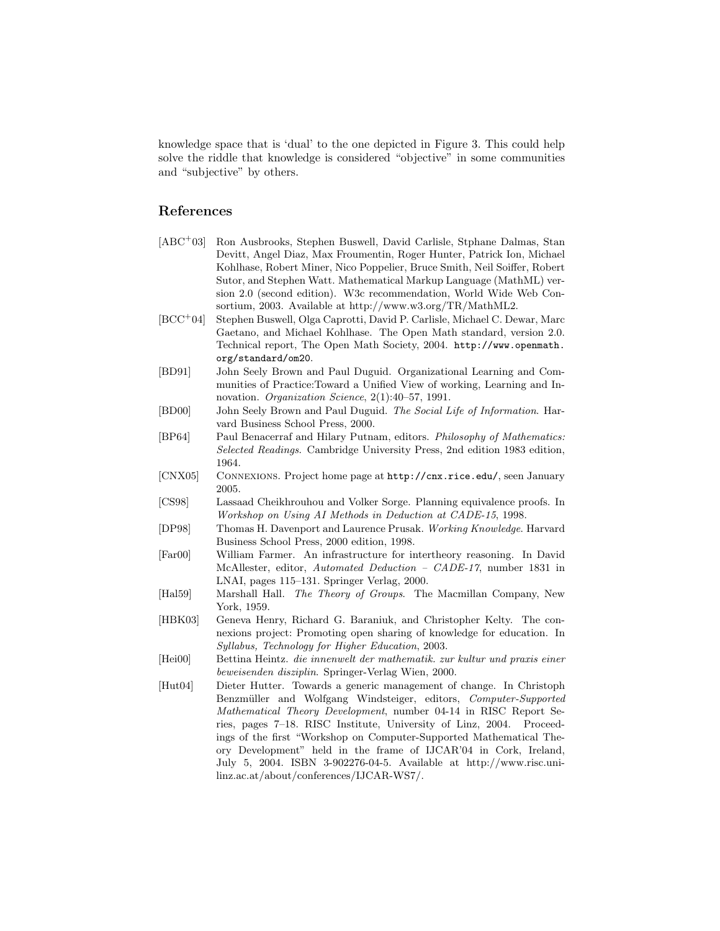knowledge space that is 'dual' to the one depicted in Figure 3. This could help solve the riddle that knowledge is considered "objective" in some communities and "subjective" by others.

# References

- [ABC<sup>+</sup>03] Ron Ausbrooks, Stephen Buswell, David Carlisle, Stphane Dalmas, Stan Devitt, Angel Diaz, Max Froumentin, Roger Hunter, Patrick Ion, Michael Kohlhase, Robert Miner, Nico Poppelier, Bruce Smith, Neil Soiffer, Robert Sutor, and Stephen Watt. Mathematical Markup Language (MathML) version 2.0 (second edition). W3c recommendation, World Wide Web Consortium, 2003. Available at http://www.w3.org/TR/MathML2.
- [BCC<sup>+</sup>04] Stephen Buswell, Olga Caprotti, David P. Carlisle, Michael C. Dewar, Marc Gaetano, and Michael Kohlhase. The Open Math standard, version 2.0. Technical report, The Open Math Society, 2004. http://www.openmath. org/standard/om20.
- [BD91] John Seely Brown and Paul Duguid. Organizational Learning and Communities of Practice:Toward a Unified View of working, Learning and Innovation. Organization Science, 2(1):40–57, 1991.
- [BD00] John Seely Brown and Paul Duguid. The Social Life of Information. Harvard Business School Press, 2000.
- [BP64] Paul Benacerraf and Hilary Putnam, editors. Philosophy of Mathematics: Selected Readings. Cambridge University Press, 2nd edition 1983 edition, 1964.
- [CNX05] Connexions. Project home page at http://cnx.rice.edu/, seen January 2005.
- [CS98] Lassaad Cheikhrouhou and Volker Sorge. Planning equivalence proofs. In Workshop on Using AI Methods in Deduction at CADE-15, 1998.
- [DP98] Thomas H. Davenport and Laurence Prusak. Working Knowledge. Harvard Business School Press, 2000 edition, 1998.
- [Far00] William Farmer. An infrastructure for intertheory reasoning. In David McAllester, editor, Automated Deduction – CADE-17, number 1831 in LNAI, pages 115–131. Springer Verlag, 2000.
- [Hal59] Marshall Hall. The Theory of Groups. The Macmillan Company, New York, 1959.
- [HBK03] Geneva Henry, Richard G. Baraniuk, and Christopher Kelty. The connexions project: Promoting open sharing of knowledge for education. In Syllabus, Technology for Higher Education, 2003.
- [Hei00] Bettina Heintz. die innenwelt der mathematik. zur kultur und praxis einer beweisenden disziplin. Springer-Verlag Wien, 2000.
- [Hut04] Dieter Hutter. Towards a generic management of change. In Christoph Benzmüller and Wolfgang Windsteiger, editors, Computer-Supported Mathematical Theory Development, number 04-14 in RISC Report Series, pages 7–18. RISC Institute, University of Linz, 2004. Proceedings of the first "Workshop on Computer-Supported Mathematical Theory Development" held in the frame of IJCAR'04 in Cork, Ireland, July 5, 2004. ISBN 3-902276-04-5. Available at http://www.risc.unilinz.ac.at/about/conferences/IJCAR-WS7/.